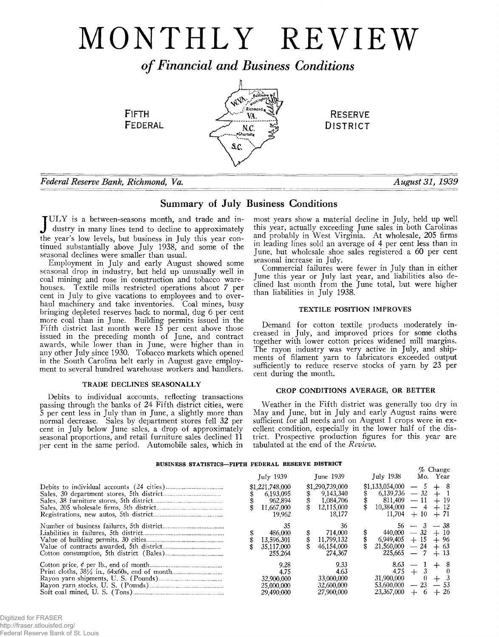# MONTHLY REVIEW

*o f Financial and Business Conditions*



# *Federal Reserve Bank, Richmond, Va. August 31, 1939*

# Summary of July Business Conditions

 $\mathbf{T} \text{ULY}$  is a between-seasons month, and trade and industry in many lines tend to decline to approximately the year's low levels, but business in July this year continued substantially above July 1938, and some of the seasonal declines were smaller than usual.

Employment in July and early August showed some seasonal drop in industry, but held up unusually well in coal mining and rose in construction and tobacco warehouses. Textile mills restricted operations about *7* per cent in July to give vacations to employees and to overhaul machinery and take inventories. Coal mines, busy bringing depleted reserves back to normal, dug 6 per cent more coal than in June. Building permits issued in the Fifth district last month were 15 per cent above those issued in the preceding month of June, and contract awards, while lower than in June, were higher than in any other July since 1930. Tobacco markets which opened in the South Carolina belt early in August gave employment to several hundred warehouse workers and handlers.

# TRADE DECLINES SEASONALLY

Debits to individual accounts, reflecting transactions passing through the banks of 24 Fifth district cities, were 5 per cent less in July than in June, a slightly more than normal decrease. Sales by department stores fell 32 per cent in July below June sales, a drop of approximately seasonal proportions, and retail furniture sales declined 11 per cent in the same period. Automobile sales, which in

most years show a material decline in July, held up well this year, actually exceeding June sales in both Carolinas and probably in West Virginia. At wholesale, 205 firms in leading lines sold an average of 4 per cent less than in June, but wholesale shoe sales registered a 60 per cent seasonal increase in July.

Commercial failures were fewer in July than in either June this year or July last year, and liabilities also declined last month from the June total, but were higher than liabilities in July 1938.

# TEXTILE POSITION IMPROVES

Demand for cotton textile products moderately increased in July, and improved prices for some cloths together with lower cotton prices widened mill margins. The rayon industry was very active in July, and shipments of filament yarn to fabricators exceeded output sufficiently to reduce reserve stocks of yarn by 23 per cent during the month.

# CROP CONDITIONS AVERAGE, OR BETTER

Weather in the Fifth district was generally too dry in May and June, but in July and early August rains were sufficient for all needs and on August 1 crops were in excellent condition, especially in the lower half of the district. Prospective production figures for this year are tabulated at the end of the *Review.*

#### **BUSINESS STATISTICS— FIFTH FEDERAL RESERVE DISTRICT**

| DUBINESS SIAIISIICS—FIFIN FEDERAL RESERVE DISIRICI | July 1939                                                       | <b>Tune 1939</b>                                                  | July 1938                                             | Mo.   | $\%$ Change<br>Year         |
|----------------------------------------------------|-----------------------------------------------------------------|-------------------------------------------------------------------|-------------------------------------------------------|-------|-----------------------------|
|                                                    | \$1,221,748,000<br>6.193,095<br>962.894<br>11.667.000<br>19.962 | \$1,290,739,000<br>9.143.340<br>1.084.706<br>12,115,000<br>18.177 | \$1,133,054,000<br>6.139.736<br>811.409<br>10.384.000 | $-32$ | -8                          |
|                                                    | 35<br>486.000<br>13,596,301<br>17.000<br>255.264                | 36<br>714.000<br>11.799.132<br>46.154.000<br>274,367              | 440.000<br>6.949.405<br>21.560.000<br>225.665         |       | — 38<br>-10<br>+ 96<br>+ 63 |
|                                                    | 9.28<br>4.75<br>32,900,000<br>25,000,000<br>29,490,000          | 9.33<br>4.63<br>33,000,000<br>32,600,000<br>27,900,000            | 8.63<br>4.75<br>31.900.000<br>53.600.000              |       | -26                         |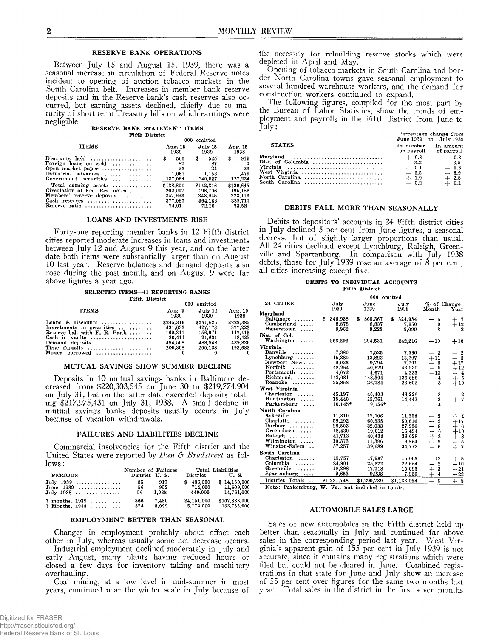### RESERVE BANK OPERATIONS

Between July 15 and August 15, 1939, there was a seasonal increase in circulation of Federal Reserve notes incident to opening of auction tobacco markets in the South Carolina belt. Increases in member bank reserve deposits and in the Reserve bank's cash reserves also occurred, but earning assets declined, chiefly due to maturity of short term Treasury bills on which earnings were negligible.

#### **RESERVE BANK STATEMENT ITEMS**

**Fifth District**

|                                                                                                                                                    | 000                                       | omitted                                  |                                     |
|----------------------------------------------------------------------------------------------------------------------------------------------------|-------------------------------------------|------------------------------------------|-------------------------------------|
| <b>ITEMS</b>                                                                                                                                       | Aug. 15                                   | July 15                                  | Aug. 15                             |
|                                                                                                                                                    | 1939                                      | 1939                                     | 1938                                |
| Discounts held $\dots\dots\dots\dots\dots\dots\dots$<br>Foreign loans on gold<br>Open market paper<br>Industrial advances<br>Government securities | 560<br>\$<br>87<br>23<br>1.067<br>137,064 | s<br>525<br>87<br>24<br>1.153<br>140.527 | 919<br>\$<br>23<br>1.479<br>127.224 |
| Total earning assets                                                                                                                               | \$138.801                                 | \$142,316                                | \$129,645                           |
| Circulation of Fed. Res. notes                                                                                                                     | 202.007                                   | 196,706                                  | 195.186                             |
| Members' reserve deposits                                                                                                                          | 257.993                                   | 243.945                                  | 223.113                             |
| Cash reserves                                                                                                                                      | 377.097                                   | 364,133                                  | 339,717                             |
| Reserve ratio                                                                                                                                      | 74.01                                     | 72.16                                    | 73.52                               |

# LOANS AND INVESTMENTS RISE

Forty-one reporting member banks in 12 Fifth district cities reported moderate increases in loans and investments between July 12 and August 9 this year, and on the latter date both items were substantially larger than on August 10 last year. Reserve balances and demand deposits also rose during the past month, and on August  $9$  were far above figures a year ago.

# **SELECTED ITEMS— 41 REPORTING BANKS**

| <b>Fifth District</b>                                                           |                      |                      |                      |  |
|---------------------------------------------------------------------------------|----------------------|----------------------|----------------------|--|
|                                                                                 | 000 omitted          |                      |                      |  |
| <b>ITEMS</b>                                                                    | Aug. 9<br>1939       | July 12<br>1939      | Aug. $10$<br>1938    |  |
| Loans & discounts $\ldots, \ldots, \ldots, \ldots$<br>Investments in securities | \$245,316<br>431.633 | \$241.625<br>427.173 | \$229.385<br>377.223 |  |
| Reserve bal. with $F$ . R. Bank                                                 | 169.311<br>20.411    | 156.071              | 147.415<br>18.425    |  |
| Cash in vaults $\ldots, \ldots, \ldots, \ldots, \ldots$<br>Demand deposits      | 494.508              | 21.631<br>488.948    | 439.826              |  |
| Time deposits<br>Money<br>$borrowed$                                            | 200.308              | 200.133              | 198.683<br>∩         |  |

# MUTUAL SAVINGS SHOW SUMMER DECLINE

Deposits in 10 mutual savings banks in Baltimore decreased from \$220,303,545 on June 30 to \$219,774,904 on July 31, but on the latter date exceeded deposits totaling \$217,975,431 on July 31, 1938. A small decline in mutual savings banks deposits usually occurs in July because of vacation withdrawals.

# FAILURES AND LIABILITIES DECLINE

Commercial insolvencies for the Fifth district and the United States were reported by *Dun & Bradstreet* as follows:

|                     | Number of Failures |       |             | Total Liabilities |
|---------------------|--------------------|-------|-------------|-------------------|
| <b>PERIODS</b>      | District U.S.      |       | District    | U.S.              |
| $July 1939  \dots $ | -35                | 917   | \$486.000   | \$14,150,000      |
| June $1939$         | 56                 | 952   | 714,000     | 11,609,000        |
| July $1938$         | 56                 | 1.038 | 440,000     | 14.761.000        |
| $7$ months, $1939$  | 366                | 7.480 | \$4,151,000 | \$107,833,000     |
| 7 Months, $1938$    | 374                | 8,099 | 5,174,000   | 153,733,000       |

# EMPLOYMENT BETTER THAN SEASONAL

Changes in employment probably about offset each other in July, whereas usually some net decrease occurs.

Industrial employment declined moderately in July and early August, many plants having reduced hours or closed a few days for inventory taking and machinery overhauling.

Coal mining, at a low level in mid-summer in most years, continued near the winter scale in July because of

Digitized for FRASER http://fraser.stlouisfed.org/ Federal Reserve Bank of St. Louis the necessity for rebuilding reserve stocks which were depleted in April and May.

Opening of tobacco markets in South Carolina and border North Carolina towns gave seasonal employment to several hundred warehouse workers, and the demand for construction workers continued to expand.

The following figures, compiled for the most part by the Bureau of Labor Statistics, show the trends of employment and payrolls in the Fifth district from June to July:

|                                                                        | Percentage change from<br>June 1939 to July 1939            |                                                            |
|------------------------------------------------------------------------|-------------------------------------------------------------|------------------------------------------------------------|
| <b>STATES</b>                                                          | In number In amount<br>on payroll of payroll                |                                                            |
| Dist. of Columbia<br>West Virginia<br>North Carolina<br>South Carolina | $+. 0.8$<br>$-3.2$<br>$-0.1$<br>$-0.5$<br>$+ 1.9$<br>$-0.2$ | $+$ 0.8<br>$-3.5$<br>$-0.6$<br>$-6.9$<br>$+2.8$<br>$+ 0.1$ |

#### DEBITS FALL MORE THAN SEASONALLY

Debits to depositors' accounts in 24 Fifth district cities in July declined 5 per cent from June figures, a seasonal decrease but of slightly larger proportions than usual. All 24 cities declined except Lynchburg, Raleigh, Greenville and Spartanburg. In comparison with July 1938 debits, those for July 1939 rose an average of 8 per cent, all cities increasing except five.

## **DEBITS TO INDIVIDUAL ACCOUNTS Fifth District**

|                         |               |         | 000          | omitted |              |                                            |                                                     |
|-------------------------|---------------|---------|--------------|---------|--------------|--------------------------------------------|-----------------------------------------------------|
| 24 CITIES               | July<br>1939  |         | June<br>1939 |         | July<br>1938 | Month                                      | % of Change<br>Year                                 |
| Maryland                |               |         |              |         |              |                                            |                                                     |
| Baltimore<br>.          | \$<br>346,938 | \$      | 368,367      | \$      | 324,984      | -6<br>—                                    | ┿<br>-7                                             |
| Cumberland<br>.         |               | 8,878   | 8.837        |         | 7.950        | 0                                          | $+12$                                               |
| Hagerstown<br>.         |               | 8,962   | 9,223        |         | 9.099        | 3                                          | $\overline{\mathbf{2}}$                             |
| Dist. of Col.           |               |         |              |         |              |                                            |                                                     |
| Washington              | 266,293       |         | 294.531      |         | 242,216      | $-10$                                      | $+10$                                               |
| <b>Virginia</b>         |               |         |              |         |              |                                            |                                                     |
| Danville<br>.           |               | 7.380   | 7,525        |         | 7.560        | $-2$                                       | $-2$                                                |
| Lynchburg               | 15.380        |         | 13.823       |         | 15.797       | $+11$                                      | $-3$                                                |
| Newport News            |               | 9,023   | 9.794        |         | 7.701        | $-8$                                       | $+17$                                               |
| Norfolk<br>.            |               | 48.264  | 50,629       |         | 43.230       | — 5                                        | $+12$                                               |
| Portsmouth              |               | 4,072   | 4.671        |         | 4.225        | $-13$                                      | $\overline{\mathbf{4}}$<br>$\overline{\phantom{0}}$ |
| Richmond.<br>.          | 143.081       |         | 148.304      |         | 136.686      | -4<br>$\equiv$                             | $+5$                                                |
| Roanoke<br>.            | 25,853        |         | 26.784       |         | 23,602       | $\equiv$<br>- 3                            | $+10$                                               |
| West Virginia           |               |         |              |         |              |                                            |                                                     |
| Charleston              | 45,197        |         | 46.403       |         | 46,226       | -3<br>-                                    | - 2                                                 |
| Huntington              |               | 15.440  | 15.761       |         | 14,442       | $\equiv$<br>$\boldsymbol{2}$               | $+7$                                                |
| Parkersburg<br>$\cdots$ |               | 10.145* | $9,756*$     |         | .            | $+$<br>$\frac{4}{3}$                       | $\ddot{\phantom{0}}$                                |
| North Carolina          |               |         |              |         |              |                                            |                                                     |
| Asheville               | 11,810        |         | 12,106       |         | 11.308       | $\boldsymbol{2}$<br>—                      | $+4$                                                |
| Charlotte               | 59,292        |         | 60.558       |         | 50,616       | $\boldsymbol{2}$<br><u></u>                | $+17$                                               |
| Durham $\ldots \ldots$  | 29.503        |         | 32.033       |         | 27.936       | 8<br>-                                     | $+6$                                                |
| Greensboro<br>1.1.1.7   |               | 18.430  | 19.612       |         | 15,494       | 6<br>--                                    | $+19$                                               |
| Raleigh                 |               | 41,713  | 40.438       |         | 38,628       | -3<br>$+$                                  | $\boldsymbol{8}$<br>$\hspace{0.1mm} +$              |
| Wilmington              | 10.373        |         | 11.386       |         | 9.894        | 9<br>--                                    | $\frac{5}{7}$<br>$^{+}_{+}$                         |
| Winston-Salem           | 37.257        |         | 39.689       |         | 34,772       | $\equiv$<br>6                              |                                                     |
| South Carolina          |               |         |              |         |              |                                            |                                                     |
| Charleston              |               | 15,757  | 17.987       |         | 15,003       | $-12$                                      | $+5$                                                |
| Columbia<br>.           | 24.901        |         | 25.322       |         | 22,654       | $\boldsymbol{2}$<br>—                      | $+10$                                               |
| Greenville<br>.         |               | 18,298  | 17.718       |         | 15,095       | 3<br>⊹                                     | $+21$                                               |
| Spartanburg<br>$\cdots$ |               | 9,653   | 9,238        |         | 7,936        | $\bf{4}$                                   | $+22$                                               |
| District Totals         | \$1,221,748   |         | \$1,290,739  |         | \$1,133,054  | $\overline{5}$<br>$\overline{\phantom{0}}$ | $+8$                                                |

Note: Parkersburg, W. Va., not included in totals.

#### **AUTOMOBILE SALES LARGE**

Sales of new automobiles in the Fifth district held up better than seasonally in July and continued far above sales in the corresponding period last year. West Virginia's apparent gain of 155 per cent in July 1939 is not accurate, since it contains many registrations which were filed but could not be cleared in June. Combined registrations in that state for June and July show an increase of 55 per cent over figures for the same two months last year. Total sales in the district in the first seven months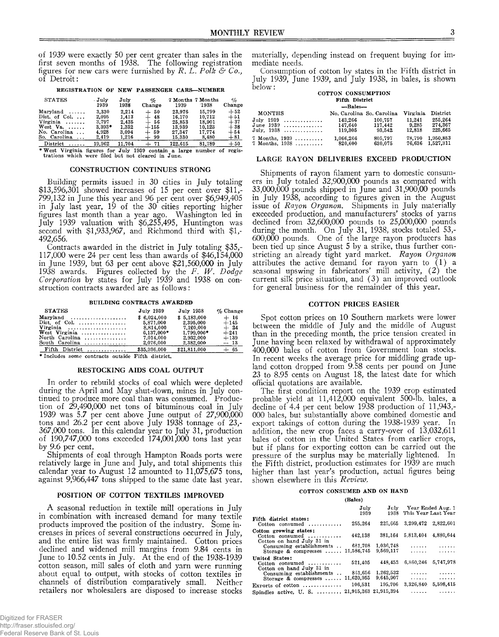of 1939 were exactly 50 per cent greater than sales in the first seven months of 1938. The following registration figures for new cars were furnished by *R. L. Polk & Co* of Detroit:

**REGISTRATION OF NEW PASSENGER CARS— NUMBER**

| <b>STATES</b>            | . July<br>1939 | July<br>1938 | oſ,<br>Change | 1939    | 7 Months 7 Months<br>1938 | %<br>Change |
|--------------------------|----------------|--------------|---------------|---------|---------------------------|-------------|
| Maryland                 | 3,330          | 2.214        | -50<br>┷      | 23.976  | 15.799                    | $+52$       |
| Dist. of Col. $\ldots$   | 2.095          | 1.413        | 48<br>┷       | 16.170  | 10.712                    | $+51$       |
| Virginia<br>.            | 3.797          | 2.435        | 56<br>┶       | 25.853  | 18,901                    | $+37$       |
| West Va. $\dots$ .       | $3.393*$       | 1,332        | $+155$        | 13,939  | 10.123                    | $+38$       |
| No. Carolina<br>$\cdots$ | 4.928          | 3.094        | $+59$         | 27.347  | 17.774                    | $+54$       |
| So. Carolina<br>$\cdots$ | 2,419          | 1.216        | $+99$         | 15,330  | 8.480                     | $+81$       |
| District<br>.            | 19.962         | 11.704       | 71            | 122,615 | 81.789                    | $+50$       |

**\* West Virginia figures for July 1939 contain a large number of regis-trations which were filed but not cleared in June.**

## CONSTRUCTION CONTINUES STRONG

Building permits issued in 30 cities in July totaling  $$13,596,301$  showed increases of 15 per cent over  $$11,$ -799,132 in June this year and 96 per cent over \$6,949,405 in July last year, 19 of the 30 cities reporting higher figures last month than a year ago. Washington led in July 1939 valuation with \$6,255,495, Huntington was second with \$1,933,967, and Richmond third with \$1,- 492,656.

Contracts awarded in the district in July totaling \$35,- 117,000 were 24 per cent less than awards of \$46,154,000 in June 1939, but 63 per cent above \$21,560,000 in July 1938 awards. Figures collected by the *F. W . Dodge Corporation* by states for July 1939 and 1938 on construction contracts awarded are as follows:

**BUILDING CONTRACTS AWARDED**

| <b>STATES</b>                                     | <b>July 1939</b> | July 1938    | $\%$ Change |
|---------------------------------------------------|------------------|--------------|-------------|
| $Maryland \ldots, \ldots, \ldots, \ldots, \ldots$ | \$6.024.000      | \$5.183.000  | $+16$       |
| Dist of Col. $\ldots$                             | 5.871.000        | 2.395.000    | $+145$      |
| Virginia                                          | 8.814.000        | 7.120.000    | $+ 24$      |
| West Virginia                                     | $6.137.000*$     | 1.799.000*   | $+241$      |
| North Carolina $\ldots \ldots \ldots \ldots$      | 7.014.000        | 2.932.000    | $+139$      |
| South Carolina                                    | 2.076.000        | 2,382,000    | $-13$       |
| Fifth District                                    | \$35,936,000     | \$21,811,000 | $+ 65$      |
| * Includes some contracts outside Fifth district. |                  |              |             |

#### RESTOCKING AIDS COAL OUTPUT

In order to rebuild stocks of coal which were depleted during the April and May shut-down, mines in July continued to produce more coal than was consumed. Production of 29,490,000 net tons of bituminous coal in July 1939 was 5.7 per cent above June output of 27,900,000 tons and 26.2 per cent above July 1938 tonnage of 23,- 367,000 tons. In this calendar year to July 31, production of 190,747,000 tons exceeded 174,001,000 tons last year by 9.6 per cent.

Shipments of coal through Hampton Roads ports were relatively large in June and July, and total shipments this calendar year to August 12 amounted to 11,075,675 tons, against 9,966,447 tons shipped to the same date last year.

# POSITION OF COTTON TEXTILES IMPROVED

A seasonal reduction in textile mill operations in July in combination with increased demand for many textile products improved the position of the industry. Some increases in prices of several constructions occurred in July, and the entire list was firmly maintained. Cotton prices declined and widened mill margins from 9.84 cents in June to 10.52 cents in July. At the end of the 1938-1939 cotton season, mill sales of cloth and yarn were running about equal to output, with stocks of cotton textiles in channels of distribution comparatively small. Neither retailers nor wholesalers are disposed to increase stocks

Digitized for FRASER http://fraser.stlouisfed.org/ Federal Reserve Bank of St. Louis materially, depending instead on frequent buying for immediate needs.

Consumption of cotton by states in the Fifth district in July 1939, June 1939, and July 1938, in bales, is shown below: **COTTON CONSUMPTION**

# **Fifth District — Bales— MONTHS No. Carolina So. Carolina Virginia District July 1939 ........................... 143,266 100,757 11,241 255,264 June 1939 ........................... 147,640 117,442 9,285 274,367 July, 1938 ........................... 119,305 93,542 12,818 225,665 7 Months, 1939 ................... 1,066,2,66 805,797 78,790 1,950,853 7 Months, 1938 ................... 820,600 630,075 76,636 1,527,311**

# LARGE RAYON DELIVERIES EXCEED PRODUCTION

Shipments of rayon filament yarn to domestic consumers in July totaled 32,900,000 pounds as compared with 33,000,000 pounds shipped in June and 31,900,00 pounds in July 1938, according to figures given in the August issue of *Rayon Organon.* Shipments in July materially exceeded production, and manufacturers' stocks of yarns declined from 32,600,000 pounds to 25,000,000 pounds during the month. On July 31, 1938, stocks totaled 53,- 600,000 pounds. One of the large rayon producers has been tied up since August 5 by a strike, thus further constricting an already tight yard market. *Rayon Organon* attributes the active demand for rayon yarn to  $(1)$  a seasonal upswing in fabricators' mill activity, (2) the current silk price situation, and (3) an improved outlook for general business for the remainder of this year.

## COTTON PRICES EASIER

Spot cotton prices on 10 Southern markets were lower between the middle of July and the middle of August than in the preceding month, the price tension created in June having been relaxed by withdrawal of approximately 400,000 bales of cotton from Government loan stocks. In recent weeks the average price for middling grade upland cotton dropped from 9.58 cents per pound on June 23 to 8.95 cents on August 18, the latest date for which official quotations are available.

The first condition report on the 1939 crop estimated probable yield at 11,412,000 equivalent 500-lb. bales, a decline of 4.4 per cent below 1938 production of 11,943,- 000 bales, but substantially above combined domestic and export takings of cotton during the 1938-1939 year. In addition, the new crop faces a carry-over of 13,032,611 bales of cotton in the United States from earlier crops, but if plans for exporting cotton can be carried out the pressure of the surplus may be materially lightened. In the Fifth district, production estimates for 1939 are much higher than last year's production, actual figures being shown elsewhere in this *Review,.*

# **COTTON CONSUMED AND ON HAND**

**(Bales)**

|                                                                        | July<br>1939          | July<br>1938           | This Year Last Year | Year Ended Aug. 1      |
|------------------------------------------------------------------------|-----------------------|------------------------|---------------------|------------------------|
| Fifth district states:<br>Cotton consumed                              | 255.264               | 225.665                | 3,299,472           | 2.822.601              |
| Cotton growing states:<br>Cotton consumed<br>Cotton on hand July 31 in | 442,138               | 381.164                | 5,813,404           | 4.880.644              |
| Consuming establishments<br>Storage $\&$ compresses $\ldots$           | 681,708<br>11.586.745 | 1.036.748<br>9.569,117 | .<br>.              | 1.1.1.1.1              |
| United States:                                                         |                       |                        |                     | .                      |
| Cotton consumed                                                        | 521.405               | 448.453                | 6.860,246           | 5,747,978              |
| Cotton on hand July 31 in<br>Consuming establishments                  | 861,656               | 1.262.532              | .                   | $\cdots \cdots \cdots$ |
| Storage $\&$ compresses $\ldots$                                       | 11.620.955            | 9.645.907              | .                   | .                      |
| Exports of cotton $\dots\dots\dots\dots$                               | 106.531               | 195.706                | 3,326,840           | 5,598,415              |
| Spindles active. U. S. $\ldots$                                        | 21,915,363 21,915.394 |                        |                     |                        |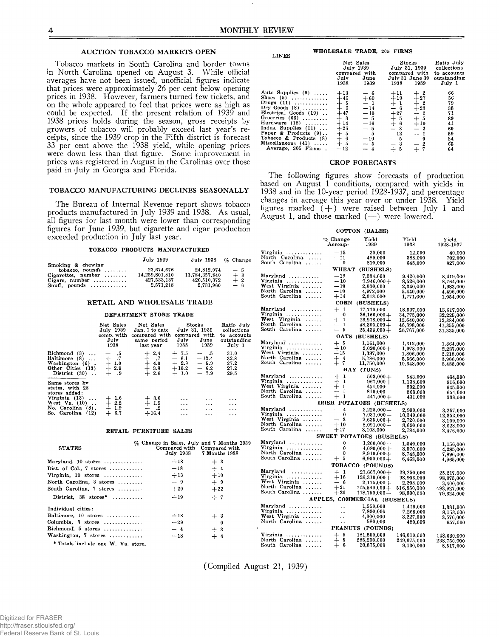**LINES**

# AU CTION TOBACCO MARKETS OPEN

Tobacco markets in South Carolina and border towns in North Carolina opened on August 3. While official averages have not been issued, unofficial figures indicate that prices were approximately 26 per cent below opening prices in 1938. However, farmers turned few tickets, and on the whole appeared to feel that prices were as high as could be expected. If the present relation of 1939 and 1938 prices holds during the season, gross receipts by growers of tobacco will probably exceed last year's receipts, since the 1939 crop in the Fifth district is forecast 33 per cent above the 1938 yield, while opening prices were down less than that figure. Some improvement in prices was registered in August in the Carolinas over those paid in July in Georgia and Florida.

# TOBACCO MANUFACTURING DECLINES SEASONALLY

The Bureau of Internal Revenue report shows tobacco products manufactured in July 1939 and 1938. As usual, all figures for last month were lower than corresponding figures for June 1939, but cigarette and cigar production exceeded production in July last year.

#### **TOBACCO PRODUCTS MANUFACTURED**

|                                                                                      | July 1939                     | July 1938 % Change            |              |
|--------------------------------------------------------------------------------------|-------------------------------|-------------------------------|--------------|
| Smoking & chewing<br>$tobacco.$ pounds $\ldots \ldots$                               | 23.674.676                    | 24.812.074                    | $-5$         |
| $C \text{igareftes}, \text{ number} \dots \dots$<br>Cigars. number $\dots\dots\dots$ | 14,259,801,810<br>427.533.137 | 13,784,357,840<br>420.510.372 | $+3$<br>$+2$ |
| $Snuff.$ pounds                                                                      | 2.571.218                     | 2.731.960                     | $-6$         |

## RETAIL AND WHOLESALE TRADE

#### **DEPARTMENT STORE TRADE**

|                                                                                                                                      | Net Sales<br>July 1939<br>comp. with<br>July<br>1938 | Net Sales<br>Jan. 1 to date<br>compared with<br>same period<br>last year                                                    | Stocks<br>July 31, 1939<br>compared with<br>July<br>June<br>1938<br>1939                        | Ratio July<br>collections<br>to accounts<br>outstanding<br>July 1 |
|--------------------------------------------------------------------------------------------------------------------------------------|------------------------------------------------------|-----------------------------------------------------------------------------------------------------------------------------|-------------------------------------------------------------------------------------------------|-------------------------------------------------------------------|
| Richmond $(3)$<br>Baltimore $(8)$<br>Washington $(6)$ .<br>Other Cities (13)<br>District $(30)$ .                                    | $-15$<br>$+$ $\sqrt{7}$<br>$+1.0$<br>$+2.9$          | $\begin{array}{r} + \phantom{0}2.4 \ + \phantom{0} .7 \ + \phantom{0}4.0 \ + \phantom{0}3.8 \ + \phantom{0}2.6 \end{array}$ | $+7.5$<br>$- 0.5$<br>$-6.1$<br>$-13.4$<br>$+2.8$<br>$-5.9$<br>$+10.2 - 6.2$<br>$+1.0$<br>$-7.9$ | 31.0<br>32.8<br>27.2<br>27.2<br>29.5                              |
| Same stores by<br>states, with 28<br>stores added:<br>Virginia $(13)$<br>West Va. $(10)$ .<br>No. Carolina (8).<br>So. Carolina (12) | $^{+~1.6}_{+~2.2}$<br>$+1.9$<br>$+ 6.7$              | $+ 3.0$<br>$+ 1.9$<br>$-$ .2<br>$+16.4$                                                                                     | $\cdots$<br>$\cdots$<br>$\cdots$<br>$\cdots$<br>$\cdots$<br>$\cdots$<br>$\cdots$<br>$\cdots$    | $\cdots$<br>$\cdots$<br>$\cdots$<br>$\cdots$                      |

#### **RETAIL FURNITURE SALES**

| <b>STATES</b>                               |       | % Change in Sales, July and 7 Months 1939<br>Compared with Compared with<br>July 1938 7 Months 1938 |
|---------------------------------------------|-------|-----------------------------------------------------------------------------------------------------|
| Maryland, $10$ stores                       | $+18$ | $+3$                                                                                                |
| Dist. of Col., 7 stores                     | $+18$ | $+4$                                                                                                |
| Virginia, 10 stores                         | $+13$ | $+10$                                                                                               |
| North Carolina, 3 stores                    | $+9$  | $+9$                                                                                                |
| South Carolina, 7 stores                    | $+20$ | $+22$                                                                                               |
| District, $38 \text{ stores}^* \dots \dots$ | $+19$ | $+ 7$                                                                                               |
| Individual cities:                          |       |                                                                                                     |
| Baltimore, $10$ stores                      | $+18$ | $+3$                                                                                                |
| Columbia, $3$ stores                        | $+29$ | 0                                                                                                   |
| $Richard, 5 stores  \dots$                  | $+4$  | $+3$                                                                                                |
| Washington, 7 stores                        | $+18$ | $+4$                                                                                                |
| * Totals include one W. Va. store.          |       |                                                                                                     |

#### **WHOLESALE TRADE, 205 FIRMS**

|                                                                                                                                                                                                                                                                          | July<br>1938                                                                                           | Net Sales<br>July 1939<br>compared with<br>June<br>1939                                           | July 31 June 30<br>1938                                                                           | $\operatorname{Stocks}$<br>July 31, 1939<br>compared with<br>1939                                       | Ratio July<br>collections<br>to accounts<br>outstanding<br>July 1    |
|--------------------------------------------------------------------------------------------------------------------------------------------------------------------------------------------------------------------------------------------------------------------------|--------------------------------------------------------------------------------------------------------|---------------------------------------------------------------------------------------------------|---------------------------------------------------------------------------------------------------|---------------------------------------------------------------------------------------------------------|----------------------------------------------------------------------|
| Auto Supplies $(9)$<br>Shoes $(5)$<br>Drugs $(11)$<br>Dry Goods $(8)$<br>Electrical Goods (19).<br>Groceries $(66)$<br>Hardware $(18)$<br>Indus. Supplies $(11)$<br>Paper & Products (9)<br>Tobacco & Products (8)<br>$Miseellaneous (41) \ldots$<br>Average, 205 Firms. | $+13$<br>$+46$<br>$rac{+}{+}$ 5<br>$+47$<br>$+3$<br>$+14$<br>$+26$<br>$+$ 5<br>$+$ 5<br>$+$ 5<br>$+12$ | $-6$<br>$+60$<br>$-1$<br>$-14$<br>$-10$<br>$-5$<br>$-16$<br>$-5$<br>$-5$<br>$-10$<br>$-5$<br>$-4$ | $+11$<br>$+19$<br>$+1$<br>$-6$<br>$+27$<br>$+5$<br>$+ 6$<br>$-3$<br>$-12$<br>$-5$<br>$-3$<br>$+5$ | $^{+~2}_{+~27}$<br>$+2$<br>$-1 - 23$<br>-- 2<br>$+5$<br>$+10$<br>$-2$<br>$-1$<br>0<br>$-2$<br>$+$<br>-7 | 66<br>56<br>79<br>38<br>71<br>89<br>41<br>60<br>59<br>84<br>65<br>64 |

#### CROP FORECASTS

The following figures show forecasts of production based on August 1 conditions, compared with yields in 1938 and in the 10-year period 1928-1937, and percentage changes in acreage this year over or under 1938. Yield figures marked  $(+)$  were raised between July 1 and August 1, and those marked (— ) were lowered.

|                                  |                                | COTTON (BALES)               |               |                    |
|----------------------------------|--------------------------------|------------------------------|---------------|--------------------|
|                                  | $\%$ Change<br>Acreage         | Yield<br>1939                | Yield<br>1938 | Yield<br>1928-1937 |
| Virginia                         | $-15$                          | 20,000                       | 12,000        | 40,000             |
| North Carolina                   | $-11$                          | 489,000                      | 388,000       | 702.000            |
| South Carolina                   | 0                              | 810,000                      | 648.000       | 827,000            |
|                                  | WHEAT                          | (BUSHELS)                    |               |                    |
| Maryland                         | $-18$                          | 7,334,000                    | 9.420,000     | 8,419,000          |
| Virginia                         | $-10$                          | $7,946,000+$                 | 8,526,000     | 8,764,000          |
| West Virginia                    | $-10$                          | 2,030,000                    | 2,340,000     | 1,983,000          |
| North Carolina                   | - 10                           | 4,972,000                    | 5,440,000     | 4,496,000          |
| South Carolina                   | $+14$                          | 2,013,000                    | 1.771.000     | 1.054.000          |
|                                  | <b>CORN</b>                    | (BUSHELS)                    |               |                    |
| Maryland<br>.                    | $+1$                           | 17.710.000                   | 18,537,000    | 15,617,000         |
| Virginia                         | 0                              | $36,166,000 +$               | 34,775,000    | 32,225,000         |
| $\textbf{West}$ Virginia         | ┿<br>1                         | $13,978,000+$                | 12,640,000    | 12,384,000         |
| North Carolina                   | $\mathbf{1}$<br>-              | $48,360,000 +$               | 46,398,000    | 41,355,000         |
| South Carolina                   | — 5                            | $25,433,000+$                | 26,767,000    | 21,335,000         |
|                                  |                                | <b>OATS (BUSHELS)</b>        |               |                    |
| Maryland'                        | $+5$                           | 1,161,000                    | 1,312,000     | 1,364,000          |
| Virginia                         | $+10$                          | $2,020,000+$                 | 1,978,000     | 2,287,000          |
| West Virginia                    | — 15                           | 1,387,000                    | 1,806,000     | 2,218,000          |
| North Carolina                   | $+4$                           | 5,786,000                    | 5,566,000     | 3,906,000          |
| South Carolina                   | $+$ 7                          | 11,750,000                   | 10,648,000    | 8,488,000          |
|                                  |                                | HAY (TONS)                   |               |                    |
| Maryland                         | $+1$                           | $503,000 +$                  | 543,000       | 464,000            |
| Virginia                         | $+1$                           | $967,000+$                   | 1,138,000     | 916,000            |
| West Virginia                    | $+1$                           | 654,000                      | 802,000       | 645,000            |
| North Carolina                   | -1<br>$\overline{\phantom{0}}$ | 810,000                      | 863,000       | 654,000            |
| South Carolina                   | $+$<br>1                       | 447,000+                     | 431,000       | 338,000            |
|                                  |                                | IRISH POTATOES (BUSHELS)     |               |                    |
| $Maryland$                       | $-4$                           | $2,225,000-$                 | 2,990,000     | 3,257,000          |
| Virginia                         | 0                              | $7,031,000-$                 | 10,349,000    | 12,352,000         |
| West Virginia                    | - 3                            | $2,635,000+$                 | 2,720,000     | 3,109,000          |
| North Carolina<br>South Carolina | $+10$                          | $8.091.000 -$                | 8,690,000     | 8,028,000          |
|                                  | $+17$                          | 3,108,000                    | 2,784,000     | 2,476,000          |
|                                  |                                | SWEET POTATOES (BUSHELS)     |               |                    |
| Maryland                         | 0                              | $1,200,000-$                 | 1,040,000     | 1,156,000          |
| Virginia                         | 0                              | $4,080,000 +$                | 3,570,000     | 4,285,000          |
| North Carolina                   | $\mathbf{0}$                   | $8,910,000 +$                | 8,748,000     | 7,896,000          |
| South Carolina                   | $+5$                           | $6,900,000+$                 | 6,468,000     | 4,965,000          |
|                                  | <b>TOBACCO</b>                 | (POUNDS)                     |               |                    |
| Maryland<br>.                    | $+1$                           | $27,667,000+$                | 29,250,000    | 25,217,000         |
| Virginia                         | $+16$                          | $126,310,000 +$              | 98,906,000    | 98,075,000         |
| $\mathbf W$ est Virginia         | $-6$                           | $2.175,000 +$                | 2,208,000     | 3,400,000          |
| North Carolina                   | $+21$                          | $715,540,000+$               | 516,850,000   | 493,927,000        |
| South Carolina                   | $+20$                          | $118,750,000 -$              | 98,800,000    | 79,624,000         |
|                                  |                                | APPLES, COMMERCIAL (BUSHELS) |               |                    |
| Maryland                         |                                | 1,550,000                    | 1,419,000     | 1,331,000          |
| Virginia                         | $\ddot{\phantom{a}}$           | 7,800,000                    | 7,268,000     | 8,153,000          |
| West Virginia                    | $\ddot{\phantom{a}}$           | 4,000,000                    | 3,227,000     | 3,576,000          |
| North Carolina                   | . .                            | 580,000                      | 480,000       | 657,000            |
|                                  |                                | PEANUTS (POUNDS)             |               |                    |
| Virginia                         | $+5$                           | 181,500,000                  | 146,010,000   | 148,630,000        |
| North Carolina                   | $+5$                           | 285,200,000                  | 249,075,000   | 238,750,000        |
| South Carolina                   | $+ 6$                          | 10,875,000                   | 9,100,000     | 8,517,000          |

(Compiled August 21, 1939)